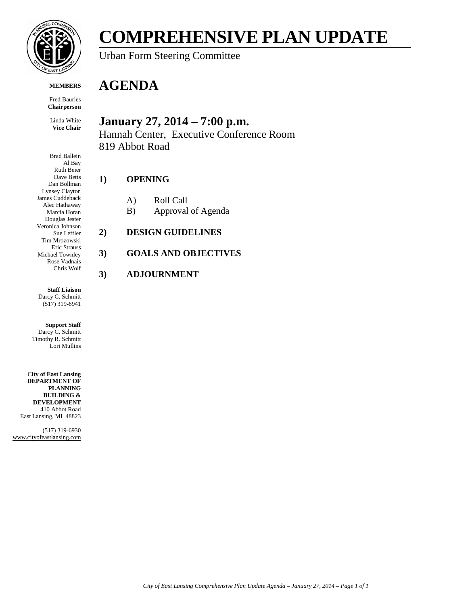

**COMPREHENSIVE PLAN UPDATE**

Urban Form Steering Committee

#### **MEMBERS**

Fred Bauries **Chairperson**

Linda White **Vice Chair** 

Brad Ballein Al Bay Ruth Beier Dave Betts Dan Bollman Lynsey Clayton James Cuddeback Alec Hathaway Marcia Horan Douglas Jester Veronica Johnson Sue Leffler Tim Mrozowski Eric Strauss Michael Townley Rose Vadnais Chris Wolf

**Staff Liaison** Darcy C. Schmitt (517) 319-6941

**Support Staff** Darcy C. Schmitt Timothy R. Schmitt Lori Mullins

C**ity of East Lansing DEPARTMENT OF PLANNING BUILDING & DEVELOPMENT** 410 Abbot Road East Lansing, MI 48823

(517) 319-6930 www.cityofeastlansing.com

## **AGENDA**

## **January 27, 2014 – 7:00 p.m.**

Hannah Center, Executive Conference Room 819 Abbot Road

## **1) OPENING**

- A) Roll Call
- B) Approval of Agenda
- **2) DESIGN GUIDELINES**

## **3) GOALS AND OBJECTIVES**

## **3) ADJOURNMENT**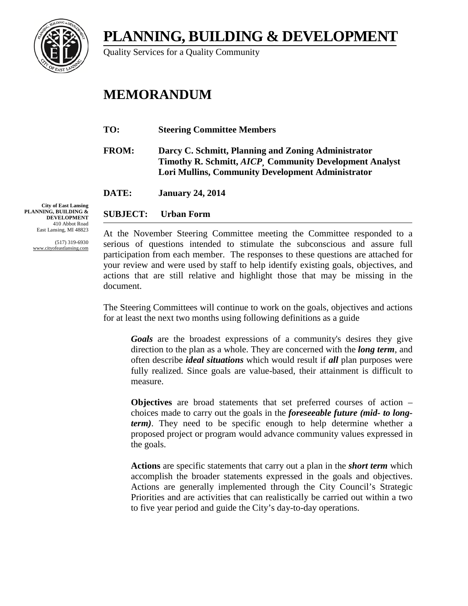**PLANNING, BUILDING & DEVELOPMENT**

Quality Services for a Quality Community

# **MEMORANDUM**

- **TO: Steering Committee Members**
- **FROM: Darcy C. Schmitt, Planning and Zoning Administrator Timothy R. Schmitt,** *AICP¸* **Community Development Analyst Lori Mullins, Community Development Administrator**

**DATE: January 24, 2014**

### **SUBJECT: Urban Form**

At the November Steering Committee meeting the Committee responded to a serious of questions intended to stimulate the subconscious and assure full participation from each member. The responses to these questions are attached for your review and were used by staff to help identify existing goals, objectives, and actions that are still relative and highlight those that may be missing in the document.

The Steering Committees will continue to work on the goals, objectives and actions for at least the next two months using following definitions as a guide

*Goals* are the broadest expressions of a community's desires they give direction to the plan as a whole. They are concerned with the *long term*, and often describe *ideal situations* which would result if *all* plan purposes were fully realized. Since goals are value-based, their attainment is difficult to measure.

**Objectives** are broad statements that set preferred courses of action – choices made to carry out the goals in the *foreseeable future (mid- to longterm)*. They need to be specific enough to help determine whether a proposed project or program would advance community values expressed in the goals.

**Actions** are specific statements that carry out a plan in the *short term* which accomplish the broader statements expressed in the goals and objectives. Actions are generally implemented through the City Council's Strategic Priorities and are activities that can realistically be carried out within a two to five year period and guide the City's day-to-day operations.

**City of East Lansing PLANNING, BUILDING & DEVELOPMENT** 410 Abbot Road East Lansing, MI 48823

> (517) 319-6930 www.cityofeastlansing.com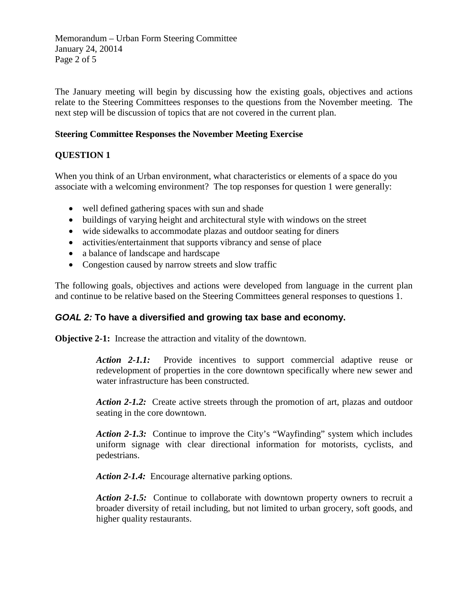Memorandum – Urban Form Steering Committee January 24, 20014 Page 2 of 5

The January meeting will begin by discussing how the existing goals, objectives and actions relate to the Steering Committees responses to the questions from the November meeting. The next step will be discussion of topics that are not covered in the current plan.

### **Steering Committee Responses the November Meeting Exercise**

## **QUESTION 1**

When you think of an Urban environment, what characteristics or elements of a space do you associate with a welcoming environment? The top responses for question 1 were generally:

- well defined gathering spaces with sun and shade
- buildings of varying height and architectural style with windows on the street
- wide sidewalks to accommodate plazas and outdoor seating for diners
- activities/entertainment that supports vibrancy and sense of place
- a balance of landscape and hardscape
- Congestion caused by narrow streets and slow traffic

The following goals, objectives and actions were developed from language in the current plan and continue to be relative based on the Steering Committees general responses to questions 1.

## *GOAL 2:* **To have a diversified and growing tax base and economy.**

**Objective 2-1:** Increase the attraction and vitality of the downtown.

*Action 2-1.1:*Provide incentives to support commercial adaptive reuse or redevelopment of properties in the core downtown specifically where new sewer and water infrastructure has been constructed.

*Action 2-1.2:* Create active streets through the promotion of art, plazas and outdoor seating in the core downtown.

*Action 2-1.3:* Continue to improve the City's "Wayfinding" system which includes uniform signage with clear directional information for motorists, cyclists, and pedestrians.

Action 2-1.4: Encourage alternative parking options.

*Action 2-1.5:* Continue to collaborate with downtown property owners to recruit a broader diversity of retail including, but not limited to urban grocery, soft goods, and higher quality restaurants.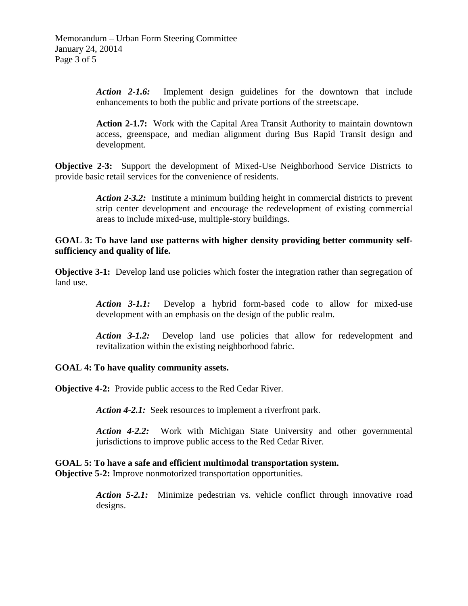*Action 2-1.6:* Implement design guidelines for the downtown that include enhancements to both the public and private portions of the streetscape.

**Action 2-1.7:** Work with the Capital Area Transit Authority to maintain downtown access, greenspace, and median alignment during Bus Rapid Transit design and development.

**Objective 2-3:** Support the development of Mixed-Use Neighborhood Service Districts to provide basic retail services for the convenience of residents.

> *Action 2-3.2:* Institute a minimum building height in commercial districts to prevent strip center development and encourage the redevelopment of existing commercial areas to include mixed-use, multiple-story buildings.

### **GOAL 3: To have land use patterns with higher density providing better community selfsufficiency and quality of life.**

**Objective 3-1:** Develop land use policies which foster the integration rather than segregation of land use.

> *Action 3-1.1:* Develop a hybrid form-based code to allow for mixed-use development with an emphasis on the design of the public realm.

> *Action 3-1.2:* Develop land use policies that allow for redevelopment and revitalization within the existing neighborhood fabric.

#### **GOAL 4: To have quality community assets.**

**Objective 4-2:** Provide public access to the Red Cedar River.

Action 4-2.1: Seek resources to implement a riverfront park.

*Action 4-2.2:* Work with Michigan State University and other governmental jurisdictions to improve public access to the Red Cedar River.

#### **GOAL 5: To have a safe and efficient multimodal transportation system. Objective 5-2:** Improve nonmotorized transportation opportunities.

*Action 5-2.1:* Minimize pedestrian vs. vehicle conflict through innovative road designs.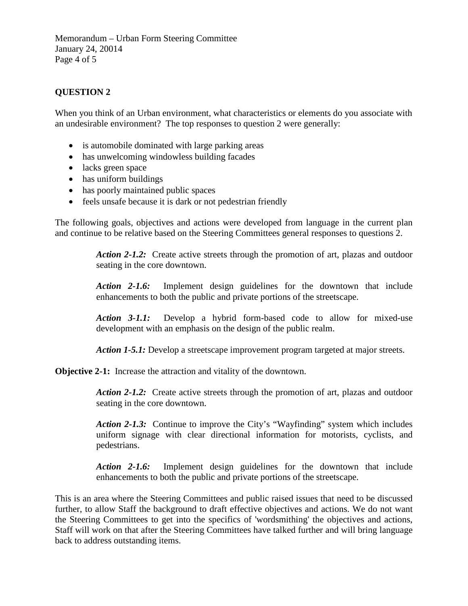Memorandum – Urban Form Steering Committee January 24, 20014 Page 4 of 5

## **QUESTION 2**

When you think of an Urban environment, what characteristics or elements do you associate with an undesirable environment? The top responses to question 2 were generally:

- is automobile dominated with large parking areas
- has unwelcoming windowless building facades
- lacks green space
- has uniform buildings
- has poorly maintained public spaces
- feels unsafe because it is dark or not pedestrian friendly

The following goals, objectives and actions were developed from language in the current plan and continue to be relative based on the Steering Committees general responses to questions 2.

> *Action 2-1.2:*Create active streets through the promotion of art, plazas and outdoor seating in the core downtown.

> *Action 2-1.6:* Implement design guidelines for the downtown that include enhancements to both the public and private portions of the streetscape.

> *Action 3-1.1:* Develop a hybrid form-based code to allow for mixed-use development with an emphasis on the design of the public realm.

*Action 1-5.1:* Develop a streetscape improvement program targeted at major streets.

**Objective 2-1:** Increase the attraction and vitality of the downtown.

Action 2-1.2: Create active streets through the promotion of art, plazas and outdoor seating in the core downtown.

*Action 2-1.3:* Continue to improve the City's "Wayfinding" system which includes uniform signage with clear directional information for motorists, cyclists, and pedestrians.

*Action 2-1.6:* Implement design guidelines for the downtown that include enhancements to both the public and private portions of the streetscape.

This is an area where the Steering Committees and public raised issues that need to be discussed further, to allow Staff the background to draft effective objectives and actions. We do not want the Steering Committees to get into the specifics of 'wordsmithing' the objectives and actions, Staff will work on that after the Steering Committees have talked further and will bring language back to address outstanding items.